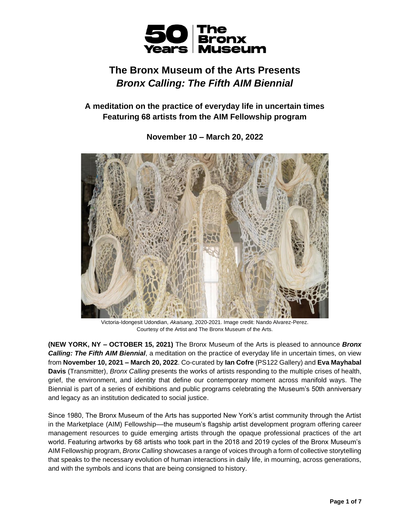

# **The Bronx Museum of the Arts Presents** *Bronx Calling: The Fifth AIM Biennial*

**A meditation on the practice of everyday life in uncertain times Featuring 68 artists from the AIM Fellowship program**

# **November 10 – March 20, 2022**



Victoria-Idongesit Udondian, *Akaisang*, 2020-2021. Image credit: Nando Alvarez-Perez. Courtesy of the Artist and The Bronx Museum of the Arts.

**(NEW YORK, NY – OCTOBER 15, 2021)** The Bronx Museum of the Arts is pleased to announce *Bronx Calling: The Fifth AIM Biennial*, a meditation on the practice of everyday life in uncertain times, on view from **November 10, 2021 – March 20, 2022**. Co-curated by **Ian Cofre** (PS122 Gallery) and **Eva Mayhabal Davis** (Transmitter), *Bronx Calling* presents the works of artists responding to the multiple crises of health, grief, the environment, and identity that define our contemporary moment across manifold ways. The Biennial is part of a series of exhibitions and public programs celebrating the Museum's 50th anniversary and legacy as an institution dedicated to social justice.

Since 1980, The Bronx Museum of the Arts has supported New York's artist community through the Artist in the Marketplace (AIM) Fellowship—the museum's flagship artist development program offering career management resources to guide emerging artists through the opaque professional practices of the art world. Featuring artworks by 68 artists who took part in the 2018 and 2019 cycles of the Bronx Museum's AIM Fellowship program, *Bronx Calling* showcases a range of voices through a form of collective storytelling that speaks to the necessary evolution of human interactions in daily life, in mourning, across generations, and with the symbols and icons that are being consigned to history.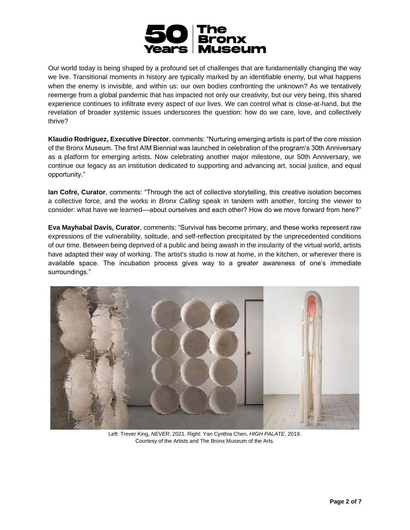

Our world today is being shaped by a profound set of challenges that are fundamentally changing the way we live. Transitional moments in history are typically marked by an identifiable enemy, but what happens when the enemy is invisible, and within us: our own bodies confronting the unknown? As we tentatively reemerge from a global pandemic that has impacted not only our creativity, but our very being, this shared experience continues to infiltrate every aspect of our lives. We can control what is close-at-hand, but the revelation of broader systemic issues underscores the question: how do we care, love, and collectively thrive?

**Klaudio Rodriguez, Executive Director**, comments: "Nurturing emerging artists is part of the core mission of the Bronx Museum. The first AIM Biennial was launched in celebration of the program's 30th Anniversary as a platform for emerging artists. Now celebrating another major milestone, our 50th Anniversary, we continue our legacy as an institution dedicated to supporting and advancing art, social justice, and equal opportunity."

**Ian Cofre, Curator**, comments: "Through the act of collective storytelling, this creative isolation becomes a collective force, and the works in *Bronx Calling* speak in tandem with another, forcing the viewer to consider: what have we learned––about ourselves and each other? How do we move forward from here?"

**Eva Mayhabal Davis, Curator**, comments: "Survival has become primary, and these works represent raw expressions of the vulnerability, solitude, and self-reflection precipitated by the unprecedented conditions of our time. Between being deprived of a public and being awash in the insularity of the virtual world, artists have adapted their way of working. The artist's studio is now at home, in the kitchen, or wherever there is available space. The incubation process gives way to a greater awareness of one's immediate surroundings."



Left: Trever King, *NEVER*, 2021. Right: Yan Cynthia Chen, *HIGH PALATE*, 2019. Courtesy of the Artists and The Bronx Museum of the Arts.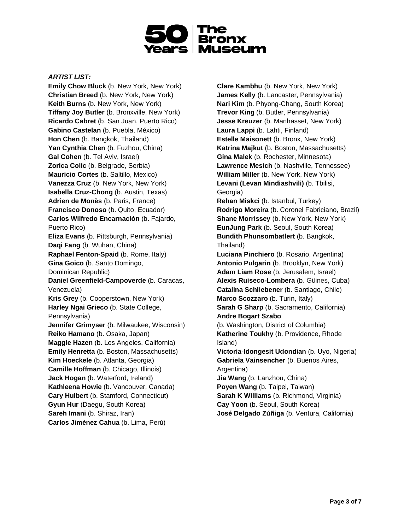

# *ARTIST LIST:*

**Emily Chow Bluck** (b. New York, New York) **Christian Breed** (b. New York, New York) **Keith Burns** (b. New York, New York) **Tiffany Joy Butler** (b. Bronxville, New York) **Ricardo Cabret** (b. San Juan, Puerto Rico) **Gabino Castelan** (b. Puebla, México) **Hon Chen** (b. Bangkok, Thailand) **Yan Cynthia Chen** (b. Fuzhou, China) **Gal Cohen** (b. Tel Aviv, Israel) **Zorica Colic** (b. Belgrade, Serbia) **Mauricio Cortes** (b. Saltillo, Mexico) **Vanezza Cruz** (b. New York, New York) **Isabella Cruz-Chong** (b. Austin, Texas) **Adrien de Monès** (b. Paris, France) **Francisco Donoso** (b. Quito, Ecuador) **Carlos Wilfredo Encarnación** (b. Fajardo, Puerto Rico) **Eliza Evans** (b. Pittsburgh, Pennsylvania) **Daqi Fang** (b. Wuhan, China) **Raphael Fenton-Spaid** (b. Rome, Italy) **Gina Goico** (b. Santo Domingo, Dominican Republic) **Daniel Greenfield-Campoverde** (b. Caracas, Venezuela) **Kris Grey** (b. Cooperstown, New York) **Harley Ngai Grieco** (b. State College, Pennsylvania) **Jennifer Grimyser** (b. Milwaukee, Wisconsin) **Reiko Hamano** (b. Osaka, Japan) **Maggie Hazen** (b. Los Angeles, California) **Emily Henretta** (b. Boston, Massachusetts) **Kim Hoeckele** (b. Atlanta, Georgia) **Camille Hoffman** (b. Chicago, Illinois) **Jack Hogan** (b. Waterford, Ireland) **Kathleena Howie** (b. Vancouver, Canada) **Cary Hulbert** (b. Stamford, Connecticut) **Gyun Hur** (Daegu, South Korea) **Sareh Imani** (b. Shiraz, Iran) **Carlos Jiménez Cahua** (b. Lima, Perú)

**Clare Kambhu** (b. New York, New York) **James Kelly** (b. Lancaster, Pennsylvania) **Nari Kim** (b. Phyong-Chang, South Korea) **Trevor King** (b. Butler, Pennsylvania) **Jesse Kreuzer** (b. Manhasset, New York) **Laura Lappi** (b. Lahti, Finland) **Estelle Maisonett** (b. Bronx, New York) **Katrina Majkut** (b. Boston, Massachusetts) **Gina Malek** (b. Rochester, Minnesota) **Lawrence Mesich** (b. Nashville, Tennessee) **William Miller** (b. New York, New York) **Levani (Levan Mindiashvili)** (b. Tbilisi, Georgia) **Rehan Miskci** (b. Istanbul, Turkey) **Rodrigo Moreira** (b. Coronel Fabriciano, Brazil) **Shane Morrissey** (b. New York, New York) **EunJung Park** (b. Seoul, South Korea) **Bundith Phunsombatlert** (b. Bangkok, Thailand) **Luciana Pinchiero** (b. Rosario, Argentina) **Antonio Pulgarin** (b. Brooklyn, New York) **Adam Liam Rose** (b. Jerusalem, Israel) **Alexis Ruiseco-Lombera** (b. Güines, Cuba) **Catalina Schliebener** (b. Santiago, Chile) **Marco Scozzaro** (b. Turin, Italy) **Sarah G Sharp** (b. Sacramento, California) **Andre Bogart Szabo** (b. Washington, District of Columbia) **Katherine Toukhy** (b. Providence, Rhode Island) **Victoria**-**Idongesit Udondian** (b. Uyo, Nigeria) **Gabriela Vainsencher** (b. Buenos Aires, Argentina) **Jia Wang** (b. Lanzhou, China) **Poyen Wang** (b. Taipei, Taiwan) **Sarah K Williams** (b. Richmond, Virginia) **Cay Yoon** (b. Seoul, South Korea) **José Delgado Zúñiga** (b. Ventura, California)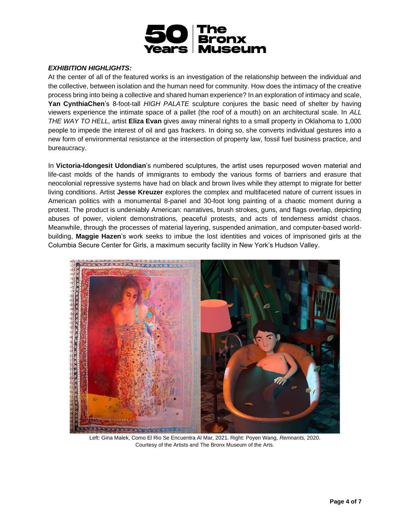

# *EXHIBITION HIGHLIGHTS:*

At the center of all of the featured works is an investigation of the relationship between the individual and the collective, between isolation and the human need for community. How does the intimacy of the creative process bring into being a collective and shared human experience? In an exploration of intimacy and scale, **Yan CynthiaChen**'s 8-foot-tall *HIGH PALATE* sculpture conjures the basic need of shelter by having viewers experience the intimate space of a pallet (the roof of a mouth) on an architectural scale. In *ALL THE WAY TO HELL,* artist **Eliza Evan** gives away mineral rights to a small property in Oklahoma to 1,000 people to impede the interest of oil and gas frackers. In doing so, she converts individual gestures into a new form of environmental resistance at the intersection of property law, fossil fuel business practice, and bureaucracy.

In **Victoria-Idongesit Udondian**'s numbered sculptures, the artist uses repurposed woven material and life-cast molds of the hands of immigrants to embody the various forms of barriers and erasure that neocolonial repressive systems have had on black and brown lives while they attempt to migrate for better living conditions. Artist **Jesse Kreuzer** explores the complex and multifaceted nature of current issues in American politics with a monumental 8-panel and 30-foot long painting of a chaotic moment during a protest. The product is undeniably American: narratives, brush strokes, guns, and flags overlap, depicting abuses of power, violent demonstrations, peaceful protests, and acts of tenderness amidst chaos. Meanwhile, through the processes of material layering, suspended animation, and computer-based worldbuilding, **Maggie Hazen**'s work seeks to imbue the lost identities and voices of imprisoned girls at the Columbia Secure Center for Girls, a maximum security facility in New York's Hudson Valley.



Left: Gina Malek, Como El Rio Se Encuentra Al Mar, 2021. Right: Poyen Wang*, Remnants,* 2020. Courtesy of the Artists and The Bronx Museum of the Arts.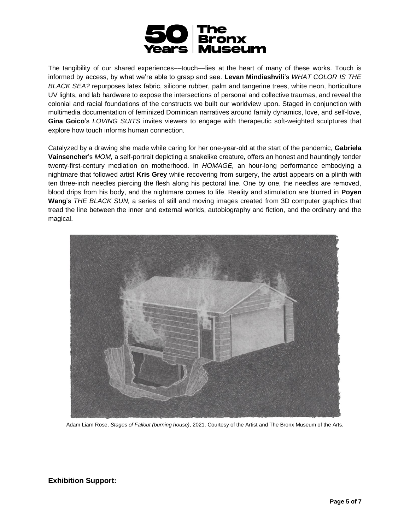

The tangibility of our shared experiences—touch—lies at the heart of many of these works. Touch is informed by access, by what we're able to grasp and see. **Levan Mindiashvili**'s *WHAT COLOR IS THE BLACK SEA?* repurposes latex fabric, silicone rubber, palm and tangerine trees, white neon, horticulture UV lights, and lab hardware to expose the intersections of personal and collective traumas, and reveal the colonial and racial foundations of the constructs we built our worldview upon. Staged in conjunction with multimedia documentation of feminized Dominican narratives around family dynamics, love, and self-love, **Gina Goico**'s *LOVING SUITS* invites viewers to engage with therapeutic soft-weighted sculptures that explore how touch informs human connection.

Catalyzed by a drawing she made while caring for her one-year-old at the start of the pandemic, **Gabriela Vainsencher**'s *MOM,* a self-portrait depicting a snakelike creature, offers an honest and hauntingly tender twenty-first-century mediation on motherhood. In *HOMAGE,* an hour-long performance embodying a nightmare that followed artist **Kris Grey** while recovering from surgery, the artist appears on a plinth with ten three-inch needles piercing the flesh along his pectoral line. One by one, the needles are removed, blood drips from his body, and the nightmare comes to life. Reality and stimulation are blurred in **Poyen Wang**'s *THE BLACK SUN,* a series of still and moving images created from 3D computer graphics that tread the line between the inner and external worlds, autobiography and fiction, and the ordinary and the magical.



Adam Liam Rose, *Stages of Fallout (burning house)*, 2021. Courtesy of the Artist and The Bronx Museum of the Arts.

**Exhibition Support:**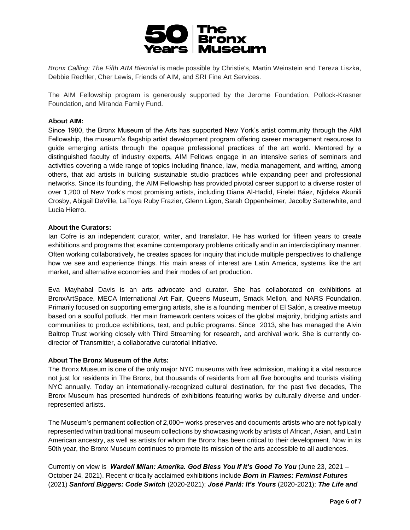

*Bronx Calling: The Fifth AIM Biennial* is made possible by Christie's, Martin Weinstein and Tereza Liszka, Debbie Rechler, Cher Lewis, Friends of AIM, and SRI Fine Art Services.

The AIM Fellowship program is generously supported by the Jerome Foundation, Pollock-Krasner Foundation, and Miranda Family Fund.

## **About AIM:**

Since 1980, the Bronx Museum of the Arts has supported New York's artist community through the AIM Fellowship, the museum's flagship artist development program offering career management resources to guide emerging artists through the opaque professional practices of the art world. Mentored by a distinguished faculty of industry experts, AIM Fellows engage in an intensive series of seminars and activities covering a wide range of topics including finance, law, media management, and writing, among others, that aid artists in building sustainable studio practices while expanding peer and professional networks. Since its founding, the AIM Fellowship has provided pivotal career support to a diverse roster of over 1,200 of New York's most promising artists, including Diana Al-Hadid, Firelei Báez, Njideka Akunili Crosby, Abigail DeVille, LaToya Ruby Frazier, Glenn Ligon, Sarah Oppenheimer, Jacolby Satterwhite, and Lucia Hierro.

#### **About the Curators:**

Ian Cofre is an independent curator, writer, and translator. He has worked for fifteen years to create exhibitions and programs that examine contemporary problems critically and in an interdisciplinary manner. Often working collaboratively, he creates spaces for inquiry that include multiple perspectives to challenge how we see and experience things. His main areas of interest are Latin America, systems like the art market, and alternative economies and their modes of art production.

Eva Mayhabal Davis is an arts advocate and curator. She has collaborated on exhibitions at BronxArtSpace, MECA International Art Fair, Queens Museum, Smack Mellon, and NARS Foundation. Primarily focused on supporting emerging artists, she is a founding member of El Salón, a creative meetup based on a soulful potluck. Her main framework centers voices of the global majority, bridging artists and communities to produce exhibitions, text, and public programs. Since 2013, she has managed the Alvin Baltrop Trust working closely with Third Streaming for research, and archival work. She is currently codirector of Transmitter, a collaborative curatorial initiative.

#### **About The Bronx Museum of the Arts:**

The Bronx Museum is one of the only major NYC museums with free admission, making it a vital resource not just for residents in The Bronx, but thousands of residents from all five boroughs and tourists visiting NYC annually. Today an internationally-recognized cultural destination, for the past five decades, The Bronx Museum has presented hundreds of exhibitions featuring works by culturally diverse and underrepresented artists.

The Museum's permanent collection of 2,000+ works preserves and documents artists who are not typically represented within traditional museum collections by showcasing work by artists of African, Asian, and Latin American ancestry, as well as artists for whom the Bronx has been critical to their development. Now in its 50th year, the Bronx Museum continues to promote its mission of the arts accessible to all audiences.

Currently on view is *Wardell Milan: Amerika. God Bless You If It's Good To You* (June 23, 2021 – October 24, 2021). Recent critically acclaimed exhibitions include *Born in Flames: Feminst Futures* (2021) *Sanford Biggers: Code Switch* (2020-2021); *José Parlá: It's Yours* (2020-2021); *The Life and*